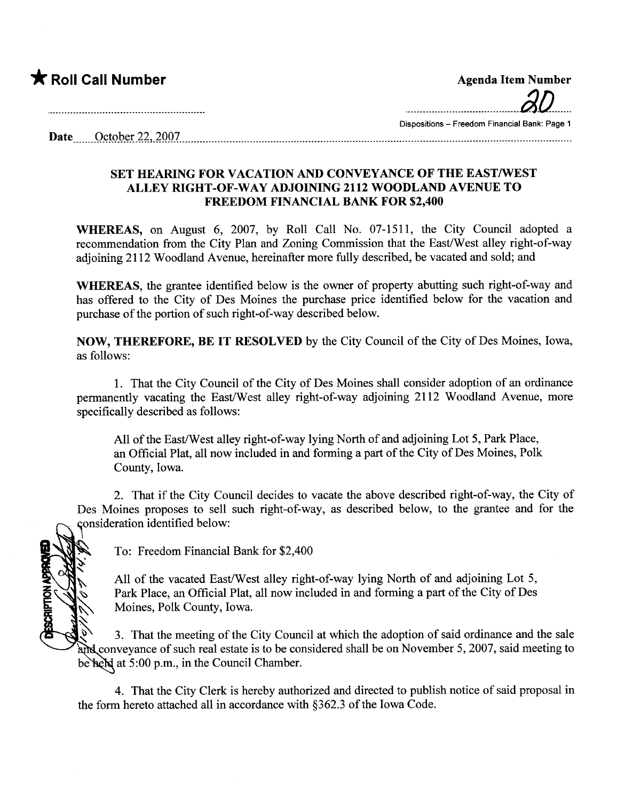

| <b>Agenda Item Number</b>                     |
|-----------------------------------------------|
| $30-$                                         |
| Dispositions - Freedom Financial Bank: Page 1 |

 $\textbf{Date}$  October 22, 2007

## SET HEARING FOR VACATION AND CONVEYANCE OF THE EAST/WEST ALLEY RIGHT -OF-WAY ADJOINING 2112 WOODLAND AVENUE TO FREEDOM FINANCIAL BANK FOR \$2,400

WHEREAS, on August 6, 2007, by Roll Call No. 07-1511, the City Council adopted a recommendation from the City Plan and Zoning Commission that the East/West alley right-of-way adjoining 2112 Woodland Avenue, hereinafter more fully described, be vacated and sold; and

WHEREAS, the grantee identified below is the owner of property abutting such right-of-way and has offered to the City of Des Moines the purchase price identified below for the vacation and purchase of the portion of such right-of-way described below.

NOW, THEREFORE, BE IT RESOLVED by the City Council of the City of Des Moines, Iowa, as follows:

1. That the City Council of the City of Des Moines shall consider adoption of an ordinance permanently vacating the East/West alley right-of-way adjoining 2112 Woodland Avenue, more specifically described as follows:

All of the East/West alley right-of-way lying North of and adjoining Lot 5, Park Place, an Official Plat, all now included in and forming a part of the City of Des Moines, Polk County, Iowa.

2. That if the City Council decides to vacate the above described right-of-way, the City of Des Moines proposes to sell such right-of-way, as described below, to the grantee and for the consideration identified below:

**CRIPTION APPR** 

To: Freedom Financial Bank for \$2,400

All of the vacated East/West alley right-of-way lying North of and adjoining Lot 5, Park Place, an Official Plat, all now included in and forming a part of the City of Des Moines, Polk County, Iowa.

3. That the meeting of the City Council at which the adoption of said ordinance and the sale and conveyance of such real estate is to be considered shall be on November 5, 2007, said meeting to be held at 5:00 p.m., in the Council Chamber.

4. That the City Clerk is hereby authorized and directed to publish notice of said proposal in the form hereto attached all in accordance with §362.3 of the Iowa Code.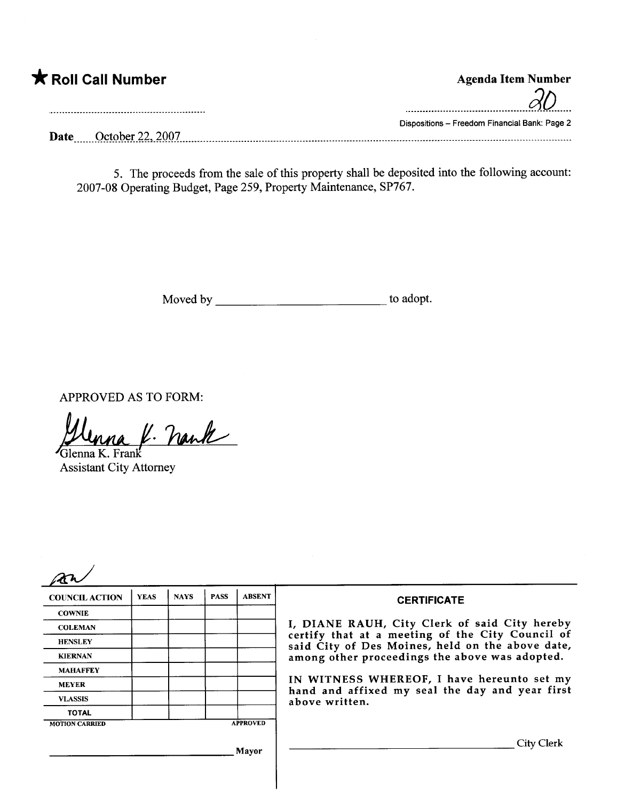| <b>K</b> Roll Call Number | <b>Agenda Item Number</b>                     |
|---------------------------|-----------------------------------------------|
|                           |                                               |
|                           | Dispositions - Freedom Financial Bank: Page 2 |
| October 22, 2007<br>Date  |                                               |

5. The proceeds from the sale of this property shall be deposited into the following account: 2007-08 Operating Budget, Page 259, Property Maintenance, SP767.

Moved by to adopt.

APPROVED AS TO FORM:

Glenna K. Frank lenna f. nank

Assistant City Attorney

| <b>COUNCIL ACTION</b> | <b>YEAS</b> | <b>NAYS</b> | <b>PASS</b> | <b>ABSENT</b>   | <b>CERTIFICATE</b>                                                                                   |
|-----------------------|-------------|-------------|-------------|-----------------|------------------------------------------------------------------------------------------------------|
| <b>COWNIE</b>         |             |             |             |                 |                                                                                                      |
| <b>COLEMAN</b>        |             |             |             |                 | I, DIANE RAUH, City Clerk of said City hereby                                                        |
| <b>HENSLEY</b>        |             |             |             |                 | certify that at a meeting of the City Council of<br>said City of Des Moines, held on the above date, |
| <b>KIERNAN</b>        |             |             |             |                 | among other proceedings the above was adopted.                                                       |
| <b>MAHAFFEY</b>       |             |             |             |                 |                                                                                                      |
| <b>MEYER</b>          |             |             |             |                 | IN WITNESS WHEREOF, I have hereunto set my<br>hand and affixed my seal the day and year first        |
| <b>VLASSIS</b>        |             |             |             |                 | above written.                                                                                       |
| <b>TOTAL</b>          |             |             |             |                 |                                                                                                      |
| <b>MOTION CARRIED</b> |             |             |             | <b>APPROVED</b> |                                                                                                      |
|                       |             |             |             | Mayor           | City Clerk                                                                                           |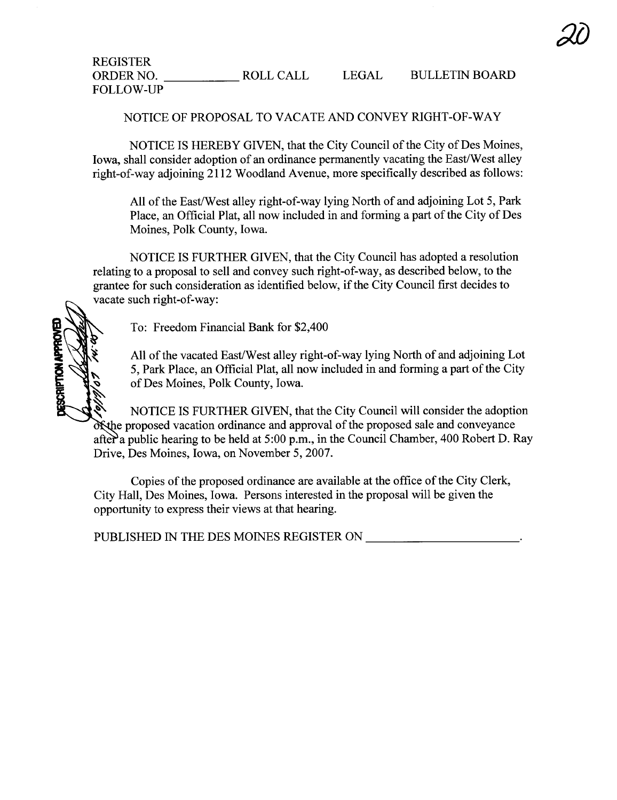NOTICE OF PROPOSAL TO VACATE AND CONVEY RIGHT-OF-WAY

NOTICE IS HEREBY GIVEN, that the City Council of the City of Des Moines, Iowa, shall consider adoption of an ordinance permanently vacating the East/West alley right-of-way adjoining 2112 Woodland Avenue, more specifically described as follows:

All of the East/West alley right-of-way lying North of and adjoining Lot 5, Park Place, an Official Plat, all now included in and forming a part of the City of Des Moines, Polk County, Iowa.

NOTICE IS FURTHER GIVEN, that the City Council has adopted a resolution relating to a proposal to sell and convey such right-of-way, as described below, to the grantee for such consideration as identified below, if the City Council first decides to vacate such right-of-way:

To: Freedom Financial Bank for \$2,400

ESCRIPTION APPRO

All of the vacated East/West alley right-of-way lying North of and adjoining Lot 5, Park Place, an Official Plat, all now included in and forming a part of the City of Des Moines, Polk County, Iowa.

NOTICE IS FURTHER GIVEN, that the City Council will consider the adoption exthe proposed vacation ordinance and approval of the proposed sale and conveyance after a public hearing to be held at  $5:00$  p.m., in the Council Chamber, 400 Robert D. Ray Drive, Des Moines, Iowa, on November 5,2007.

Copies of the proposed ordinance are available at the office of the City Clerk, City Hall, Des Moines, Iowa. Persons interested in the proposal will be given the opportunity to express their views at that hearing.

PUBLISHED IN THE DES MOINES REGISTER ON